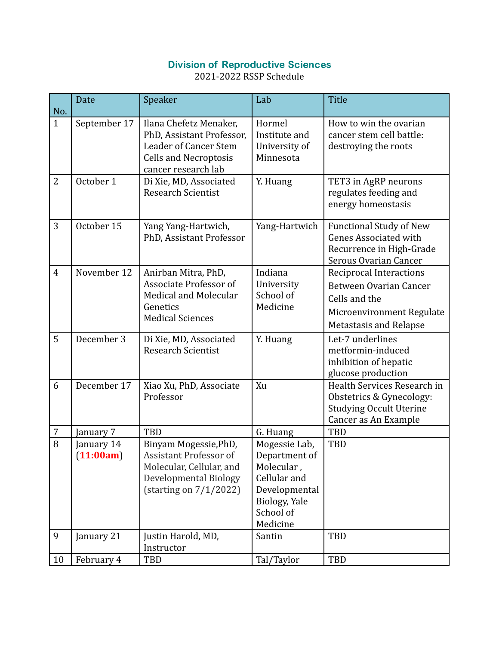## Division of Reproductive Sciences

2021-2022 RSSP Schedule

| No.            | Date                    | Speaker                                                                                                                                    | Lab                                                                                                                     | <b>Title</b>                                                                                                                     |
|----------------|-------------------------|--------------------------------------------------------------------------------------------------------------------------------------------|-------------------------------------------------------------------------------------------------------------------------|----------------------------------------------------------------------------------------------------------------------------------|
| $\mathbf{1}$   | September 17            | Ilana Chefetz Menaker,<br>PhD, Assistant Professor,<br><b>Leader of Cancer Stem</b><br><b>Cells and Necroptosis</b><br>cancer research lab | Hormel<br>Institute and<br>University of<br>Minnesota                                                                   | How to win the ovarian<br>cancer stem cell battle:<br>destroying the roots                                                       |
| $\overline{2}$ | October 1               | Di Xie, MD, Associated<br><b>Research Scientist</b>                                                                                        | Y. Huang                                                                                                                | TET3 in AgRP neurons<br>regulates feeding and<br>energy homeostasis                                                              |
| 3              | October 15              | Yang Yang-Hartwich,<br>PhD, Assistant Professor                                                                                            | Yang-Hartwich                                                                                                           | <b>Functional Study of New</b><br><b>Genes Associated with</b><br>Recurrence in High-Grade<br>Serous Ovarian Cancer              |
| $\overline{4}$ | November 12             | Anirban Mitra, PhD,<br>Associate Professor of<br>Medical and Molecular<br>Genetics<br><b>Medical Sciences</b>                              | Indiana<br>University<br>School of<br>Medicine                                                                          | Reciprocal Interactions<br>Between Ovarian Cancer<br>Cells and the<br>Microenvironment Regulate<br><b>Metastasis and Relapse</b> |
| 5              | December 3              | Di Xie, MD, Associated<br><b>Research Scientist</b>                                                                                        | Y. Huang                                                                                                                | Let-7 underlines<br>metformin-induced<br>inhibition of hepatic<br>glucose production                                             |
| 6              | December 17             | Xiao Xu, PhD, Associate<br>Professor                                                                                                       | Xu                                                                                                                      | Health Services Research in<br>Obstetrics & Gynecology:<br><b>Studying Occult Uterine</b><br>Cancer as An Example                |
| 7              | January 7               | <b>TBD</b>                                                                                                                                 | G. Huang                                                                                                                | <b>TBD</b>                                                                                                                       |
| $\overline{8}$ | January 14<br>(11:00am) | Binyam Mogessie, PhD,<br>Assistant Professor of<br>Molecular, Cellular, and<br>Developmental Biology<br>(starting on 7/1/2022)             | Mogessie Lab,<br>Department of<br>Molecular,<br>Cellular and<br>Developmental<br>Biology, Yale<br>School of<br>Medicine | <b>TBD</b>                                                                                                                       |
| 9              | January 21              | Justin Harold, MD,<br>Instructor                                                                                                           | Santin                                                                                                                  | <b>TBD</b>                                                                                                                       |
| 10             | February 4              | TBD                                                                                                                                        | Tal/Taylor                                                                                                              | TBD                                                                                                                              |